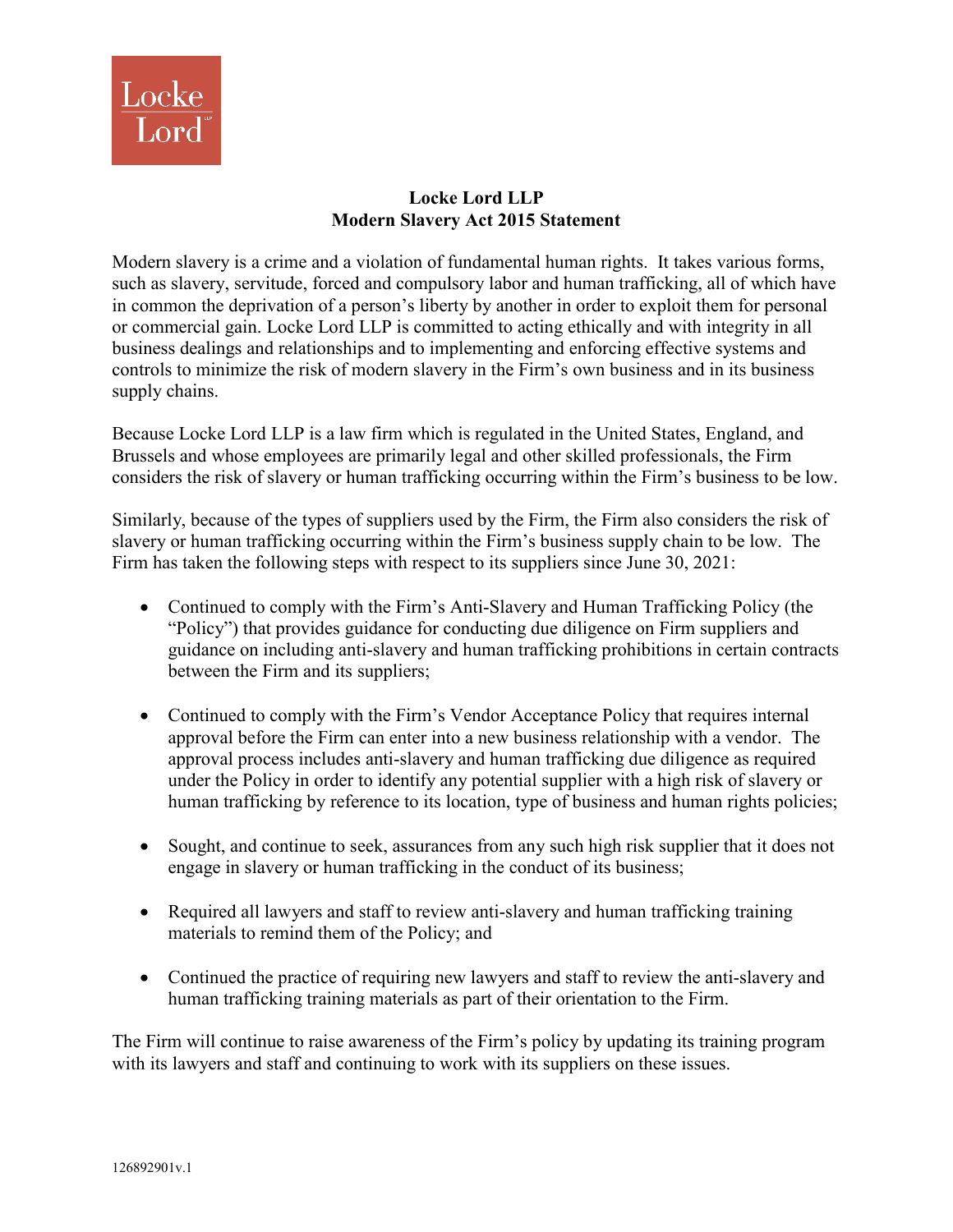

## **Locke Lord LLP Modern Slavery Act 2015 Statement**

Modern slavery is a crime and a violation of fundamental human rights. It takes various forms, such as slavery, servitude, forced and compulsory labor and human trafficking, all of which have in common the deprivation of a person's liberty by another in order to exploit them for personal or commercial gain. Locke Lord LLP is committed to acting ethically and with integrity in all business dealings and relationships and to implementing and enforcing effective systems and controls to minimize the risk of modern slavery in the Firm's own business and in its business supply chains.

Because Locke Lord LLP is a law firm which is regulated in the United States, England, and Brussels and whose employees are primarily legal and other skilled professionals, the Firm considers the risk of slavery or human trafficking occurring within the Firm's business to be low.

Similarly, because of the types of suppliers used by the Firm, the Firm also considers the risk of slavery or human trafficking occurring within the Firm's business supply chain to be low. The Firm has taken the following steps with respect to its suppliers since June 30, 2021:

- Continued to comply with the Firm's Anti-Slavery and Human Trafficking Policy (the "Policy") that provides guidance for conducting due diligence on Firm suppliers and guidance on including anti-slavery and human trafficking prohibitions in certain contracts between the Firm and its suppliers;
- Continued to comply with the Firm's Vendor Acceptance Policy that requires internal approval before the Firm can enter into a new business relationship with a vendor. The approval process includes anti-slavery and human trafficking due diligence as required under the Policy in order to identify any potential supplier with a high risk of slavery or human trafficking by reference to its location, type of business and human rights policies;
- Sought, and continue to seek, assurances from any such high risk supplier that it does not engage in slavery or human trafficking in the conduct of its business;
- Required all lawyers and staff to review anti-slavery and human trafficking training materials to remind them of the Policy; and
- Continued the practice of requiring new lawyers and staff to review the anti-slavery and human trafficking training materials as part of their orientation to the Firm.

The Firm will continue to raise awareness of the Firm's policy by updating its training program with its lawyers and staff and continuing to work with its suppliers on these issues.